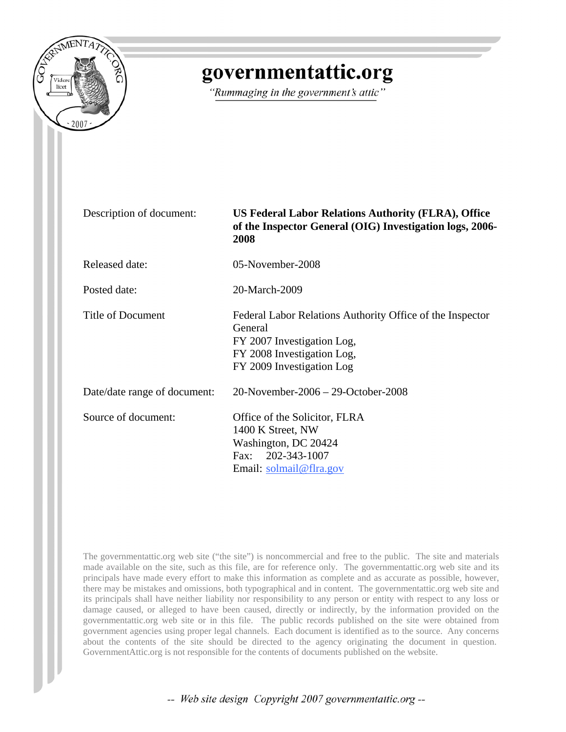

# governmentattic.org

"Rummaging in the government's attic"

Description of document: **US Federal Labor Relations Authority (FLRA), Office of the Inspector General (OIG) Investigation logs, 2006- 2008**

Released date: 05-November-2008

Posted date: 20-March-2009

General

Title of Document Federal Labor Relations Authority Office of the Inspector

Date/date range of document: 20-November-2006 – 29-October-2008

Source of document: Office of the Solicitor, FLRA 1400 K Street, NW Washington, DC 20424 Fax: 202-343-1007 Email: [solmail@flra.gov](mailto:solmail@flra.gov)

FY 2007 Investigation Log, FY 2008 Investigation Log, FY 2009 Investigation Log

The governmentattic.org web site ("the site") is noncommercial and free to the public. The site and materials made available on the site, such as this file, are for reference only. The governmentattic.org web site and its principals have made every effort to make this information as complete and as accurate as possible, however, there may be mistakes and omissions, both typographical and in content. The governmentattic.org web site and its principals shall have neither liability nor responsibility to any person or entity with respect to any loss or damage caused, or alleged to have been caused, directly or indirectly, by the information provided on the governmentattic.org web site or in this file. The public records published on the site were obtained from government agencies using proper legal channels. Each document is identified as to the source. Any concerns about the contents of the site should be directed to the agency originating the document in question. GovernmentAttic.org is not responsible for the contents of documents published on the website.

-- Web site design Copyright 2007 governmentattic.org --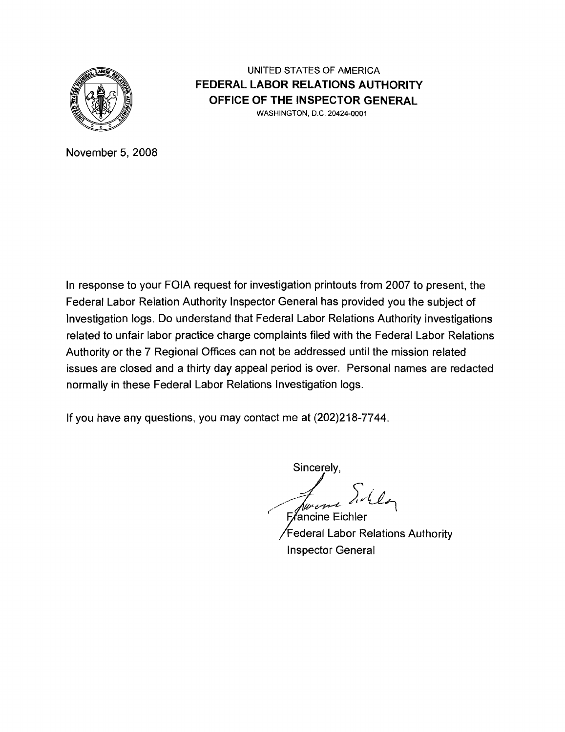

## UNITED STATES OF AMERICA **FEDERAL LABOR RELATIONS AUTHORITY OFFICE OF THE INSPECTOR GENERAL** WASHINGTON, D.C. 20424-0001

November 5, 2008

In response to your FOIA request for investigation printouts from 2007 to present, the Federal Labor Relation Authority Inspector General has provided you the subject of Investigation logs. Do understand that Federal Labor Relations Authority investigations related to unfair labor practice charge complaints filed with the Federal Labor Relations Authority or the 7 Regional Offices can not be addressed until the mission related issues are closed and a thirty day appeal period is over. Personal names are redacted normally in these Federal Labor Relations Investigation logs.

If you have any questions, you may contact me at (202)218-7744.

Sincerely,

Jenemi Willy **Exancine Eichler** 

Federal Labor Relations Authority Inspector General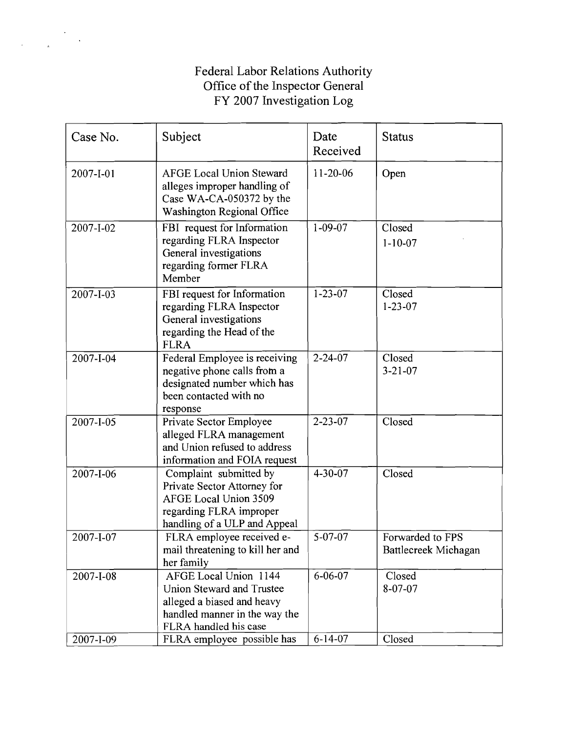## Federal Labor Relations Authority Office of the Inspector General FY 2007 Investigation Log

| Case No.               | Subject                                                                                                                                                                         | Date<br>Received               | <b>Status</b>                            |
|------------------------|---------------------------------------------------------------------------------------------------------------------------------------------------------------------------------|--------------------------------|------------------------------------------|
| 2007-I-01              | <b>AFGE Local Union Steward</b><br>alleges improper handling of<br>Case WA-CA-050372 by the<br>Washington Regional Office                                                       | 11-20-06                       | Open                                     |
| 2007-I-02              | FBI request for Information<br>regarding FLRA Inspector<br>General investigations<br>regarding former FLRA<br>Member                                                            | $1 - 09 - 07$                  | Closed<br>$1 - 10 - 07$                  |
| 2007-I-03              | FBI request for Information<br>regarding FLRA Inspector<br>General investigations<br>regarding the Head of the<br><b>FLRA</b>                                                   | $1 - 23 - 07$                  | Closed<br>$1 - 23 - 07$                  |
| 2007-I-04              | Federal Employee is receiving<br>negative phone calls from a<br>designated number which has<br>been contacted with no<br>response                                               | $2 - 24 - 07$                  | Closed<br>$3 - 21 - 07$                  |
| $2007 - 1 - 05$        | Private Sector Employee<br>alleged FLRA management<br>and Union refused to address<br>information and FOIA request                                                              | $2 - 23 - 07$                  | Closed                                   |
| 2007-I-06              | Complaint submitted by<br>Private Sector Attorney for<br><b>AFGE Local Union 3509</b><br>regarding FLRA improper<br>handling of a ULP and Appeal                                | $4 - 30 - 07$                  | Closed                                   |
| 2007-I-07              | FLRA employee received e-<br>mail threatening to kill her and<br>her family                                                                                                     | 5-07-07                        | Forwarded to FPS<br>Battlecreek Michagan |
| 2007-I-08<br>2007-I-09 | AFGE Local Union 1144<br><b>Union Steward and Trustee</b><br>alleged a biased and heavy<br>handled manner in the way the<br>FLRA handled his case<br>FLRA employee possible has | $6 - 06 - 07$<br>$6 - 14 - 07$ | Closed<br>8-07-07<br>Closed              |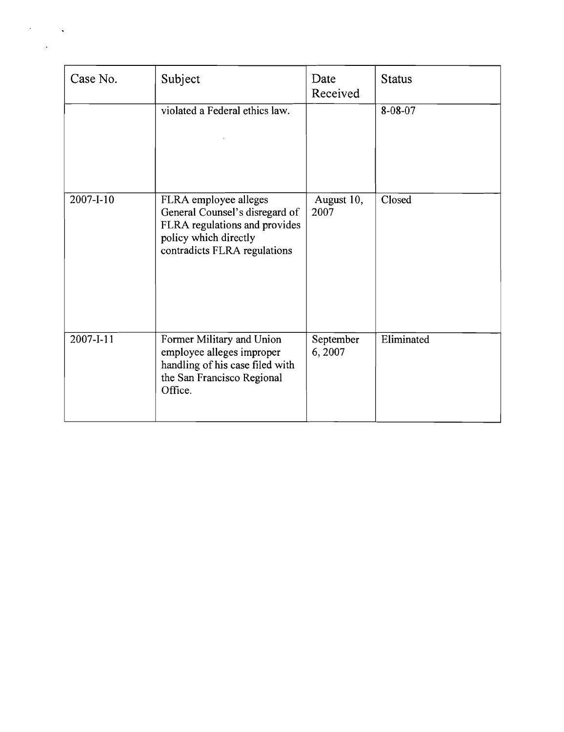| Case No.  | Subject                                                                                                                                           | Date<br>Received    | <b>Status</b> |
|-----------|---------------------------------------------------------------------------------------------------------------------------------------------------|---------------------|---------------|
|           | violated a Federal ethics law.                                                                                                                    |                     | 8-08-07       |
| 2007-I-10 | FLRA employee alleges<br>General Counsel's disregard of<br>FLRA regulations and provides<br>policy which directly<br>contradicts FLRA regulations | August 10,<br>2007  | Closed        |
| 2007-I-11 | Former Military and Union<br>employee alleges improper<br>handling of his case filed with<br>the San Francisco Regional<br>Office.                | September<br>6,2007 | Eliminated    |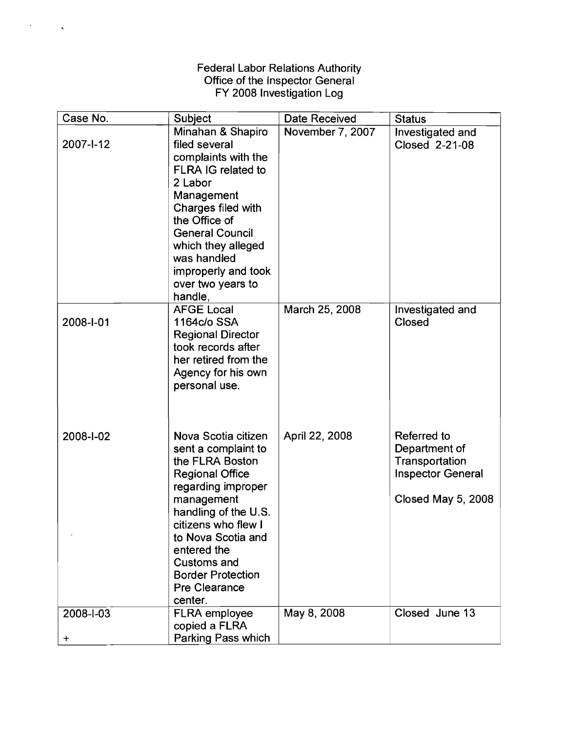#### Federal Labor Relations Authority Office of the Inspector General FY 2008 Investigation Log

 $\mathcal{F}^{\text{max}}_{\text{max}}$ 

| Case No.               | <b>Subject</b>                                                                                                                                                                                                                                                                                       | Date Received    | <b>Status</b>                                                                                    |
|------------------------|------------------------------------------------------------------------------------------------------------------------------------------------------------------------------------------------------------------------------------------------------------------------------------------------------|------------------|--------------------------------------------------------------------------------------------------|
| 2007-1-12              | Minahan & Shapiro<br>filed several<br>complaints with the<br>FLRA IG related to<br>2 Labor<br>Management<br>Charges filed with<br>the Office of<br><b>General Council</b><br>which they alleged<br>was handled<br>improperly and took<br>over two years to<br>handle,                                | November 7, 2007 | Investigated and<br>Closed 2-21-08                                                               |
| 2008-I-01              | <b>AFGE Local</b><br>1164c/o SSA<br><b>Regional Director</b><br>took records after<br>her retired from the<br>Agency for his own<br>personal use.                                                                                                                                                    | March 25, 2008   | Investigated and<br>Closed                                                                       |
| 2008-I-02              | Nova Scotia citizen<br>sent a complaint to<br>the FLRA Boston<br><b>Regional Office</b><br>regarding improper<br>management<br>handling of the U.S.<br>citizens who flew I<br>to Nova Scotia and<br>entered the<br><b>Customs and</b><br><b>Border Protection</b><br><b>Pre Clearance</b><br>center. | April 22, 2008   | Referred to<br>Department of<br>Transportation<br><b>Inspector General</b><br>Closed May 5, 2008 |
| 2008-1-03<br>$\ddot{}$ | <b>FLRA</b> employee<br>copied a FLRA<br>Parking Pass which                                                                                                                                                                                                                                          | May 8, 2008      | Closed June 13                                                                                   |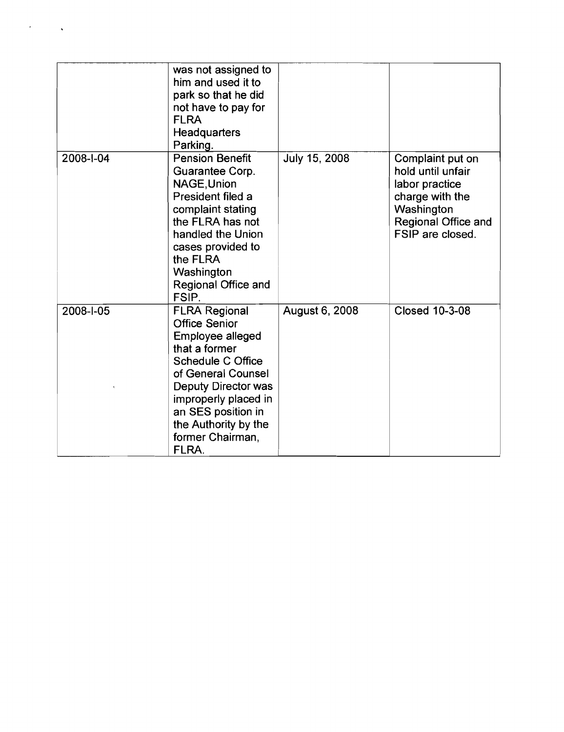|           | was not assigned to<br>him and used it to<br>park so that he did<br>not have to pay for<br><b>FLRA</b><br>Headquarters<br>Parking.                                                                                                                                          |                |                                                                                                                                     |
|-----------|-----------------------------------------------------------------------------------------------------------------------------------------------------------------------------------------------------------------------------------------------------------------------------|----------------|-------------------------------------------------------------------------------------------------------------------------------------|
| 2008-1-04 | <b>Pension Benefit</b><br>Guarantee Corp.<br>NAGE, Union<br>President filed a<br>complaint stating<br>the FLRA has not<br>handled the Union<br>cases provided to<br>the FLRA<br>Washington<br>Regional Office and<br>FSIP.                                                  | July 15, 2008  | Complaint put on<br>hold until unfair<br>labor practice<br>charge with the<br>Washington<br>Regional Office and<br>FSIP are closed. |
| 2008-I-05 | <b>FLRA Regional</b><br><b>Office Senior</b><br><b>Employee alleged</b><br>that a former<br><b>Schedule C Office</b><br>of General Counsel<br><b>Deputy Director was</b><br>improperly placed in<br>an SES position in<br>the Authority by the<br>former Chairman,<br>FLRA. | August 6, 2008 | <b>Closed 10-3-08</b>                                                                                                               |

 $\mathcal{L}^{\text{max}}_{\text{max}}$  ,  $\mathcal{L}^{\text{max}}_{\text{max}}$